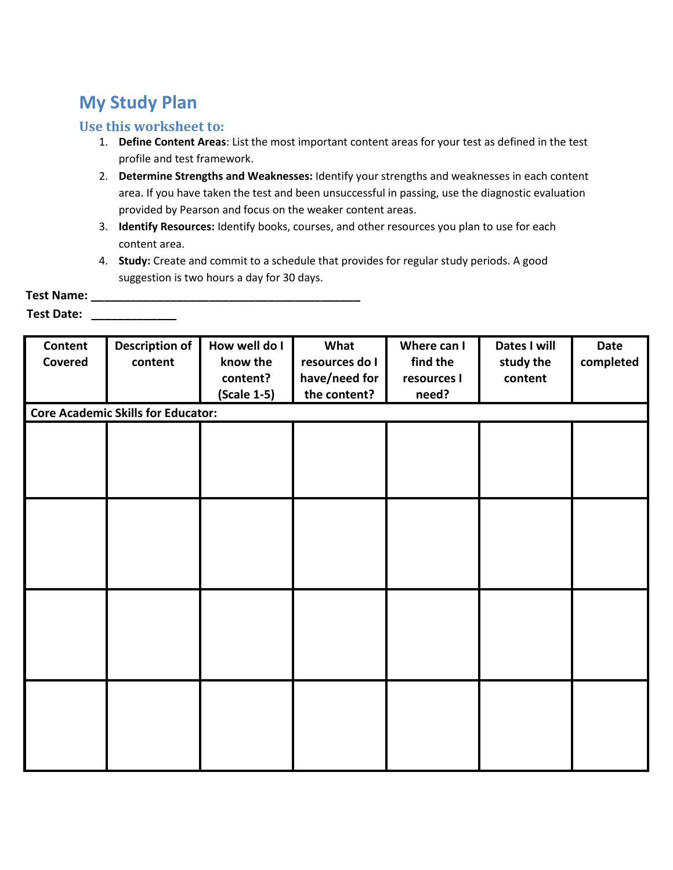## **My Study Plan**

## **Use this worksheet to:**

- 1. **Define Content Areas**: List the most important content areas for your test as defined in the test profile and test framework.
- 2. **Determine Strengths and Weaknesses:** Identify your strengths and weaknesses in each content area. If you have taken the test and been unsuccessful in passing, use the diagnostic evaluation provided by Pearson and focus on the weaker content areas.
- 3. **Identify Resources:** Identify books, courses, and other resources you plan to use for each content area.
- 4. **Study:** Create and commit to a schedule that provides for regular study periods. A good suggestion is two hours a day for 30 days.

| <b>Test Name:</b> |  |  |
|-------------------|--|--|
| Test Date:        |  |  |

| Content | <b>Description of</b>                     | How well do I | What           | Where can I | Dates I will | Date      |
|---------|-------------------------------------------|---------------|----------------|-------------|--------------|-----------|
| Covered | content                                   | know the      | resources do I | find the    | study the    | completed |
|         |                                           | content?      | have/need for  | resources I | content      |           |
|         |                                           | (Scale 1-5)   | the content?   | need?       |              |           |
|         | <b>Core Academic Skills for Educator:</b> |               |                |             |              |           |
|         |                                           |               |                |             |              |           |
|         |                                           |               |                |             |              |           |
|         |                                           |               |                |             |              |           |
|         |                                           |               |                |             |              |           |
|         |                                           |               |                |             |              |           |
|         |                                           |               |                |             |              |           |
|         |                                           |               |                |             |              |           |
|         |                                           |               |                |             |              |           |
|         |                                           |               |                |             |              |           |
|         |                                           |               |                |             |              |           |
|         |                                           |               |                |             |              |           |
|         |                                           |               |                |             |              |           |
|         |                                           |               |                |             |              |           |
|         |                                           |               |                |             |              |           |
|         |                                           |               |                |             |              |           |
|         |                                           |               |                |             |              |           |
|         |                                           |               |                |             |              |           |
|         |                                           |               |                |             |              |           |
|         |                                           |               |                |             |              |           |